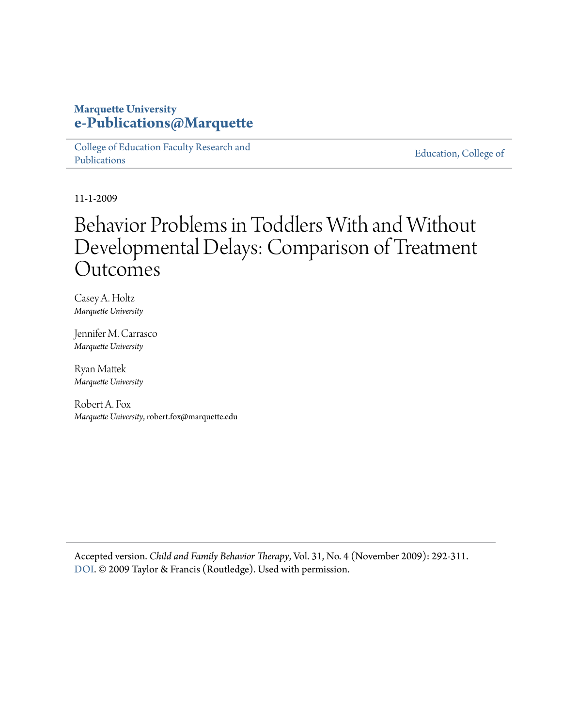## **Marquette University [e-Publications@Marquette](https://epublications.marquette.edu)**

[College of Education Faculty Research and](https://epublications.marquette.edu/edu_fac) [Publications](https://epublications.marquette.edu/edu_fac)

[Education, College of](https://epublications.marquette.edu/education)

11-1-2009

# Behavior Problems in Toddlers With and Without Developmental Delays: Comparison of Treatment Outcomes

Casey A. Holtz *Marquette University*

Jennifer M. Carrasco *Marquette University*

Ryan Mattek *Marquette University*

Robert A. Fox *Marquette University*, robert.fox@marquette.edu

Accepted version. *Child and Family Behavior Therapy*, Vol. 31, No. 4 (November 2009): 292-311. [DOI](http://dx.doi.org/10.1080/07317100903311018). © 2009 Taylor & Francis (Routledge). Used with permission.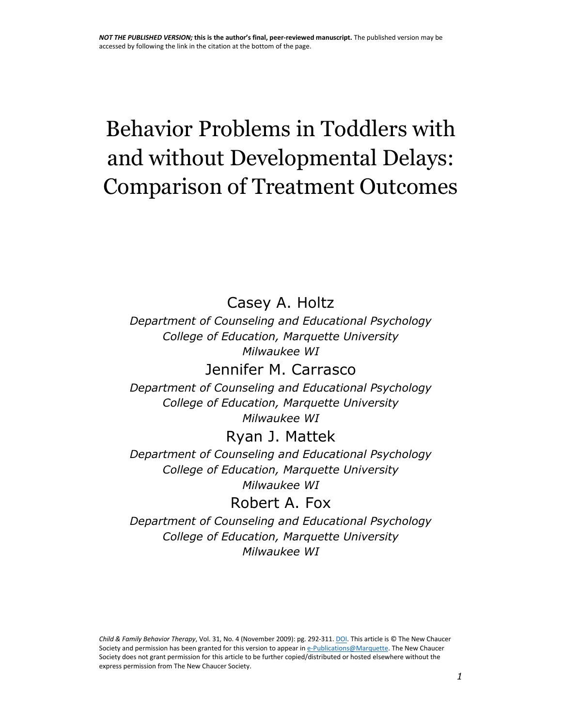# Behavior Problems in Toddlers with and without Developmental Delays: Comparison of Treatment Outcomes

Casey A. Holtz

*Department of Counseling and Educational Psychology College of Education, Marquette University Milwaukee WI*

Jennifer M. Carrasco *Department of Counseling and Educational Psychology College of Education, Marquette University*

*Milwaukee WI*

# Ryan J. Mattek

*Department of Counseling and Educational Psychology College of Education, Marquette University Milwaukee WI*

Robert A. Fox

*Department of Counseling and Educational Psychology College of Education, Marquette University Milwaukee WI*

*Child & Family Behavior Therapy*, Vol. 31, No. 4 (November 2009): pg. 292-311[. DOI.](http://dx.doi.org/10.1080/07317100903311018) This article is © The New Chaucer Society and permission has been granted for this version to appear in [e-Publications@Marquette.](http://epublications.marquette.edu/) The New Chaucer Society does not grant permission for this article to be further copied/distributed or hosted elsewhere without the express permission from The New Chaucer Society.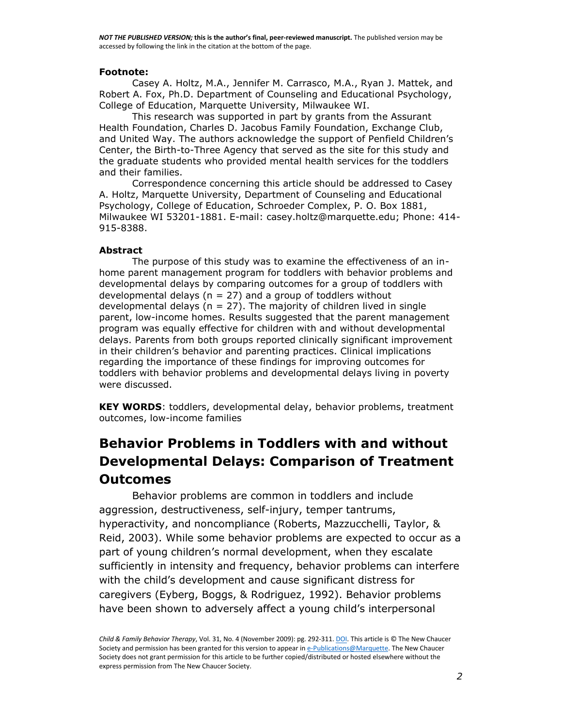#### **Footnote:**

Casey A. Holtz, M.A., Jennifer M. Carrasco, M.A., Ryan J. Mattek, and Robert A. Fox, Ph.D. Department of Counseling and Educational Psychology, College of Education, Marquette University, Milwaukee WI.

This research was supported in part by grants from the Assurant Health Foundation, Charles D. Jacobus Family Foundation, Exchange Club, and United Way. The authors acknowledge the support of Penfield Children's Center, the Birth-to-Three Agency that served as the site for this study and the graduate students who provided mental health services for the toddlers and their families.

Correspondence concerning this article should be addressed to Casey A. Holtz, Marquette University, Department of Counseling and Educational Psychology, College of Education, Schroeder Complex, P. O. Box 1881, Milwaukee WI 53201-1881. E-mail: casey.holtz@marquette.edu; Phone: 414- 915-8388.

#### **Abstract**

The purpose of this study was to examine the effectiveness of an inhome parent management program for toddlers with behavior problems and developmental delays by comparing outcomes for a group of toddlers with developmental delays ( $n = 27$ ) and a group of toddlers without developmental delays ( $n = 27$ ). The majority of children lived in single parent, low-income homes. Results suggested that the parent management program was equally effective for children with and without developmental delays. Parents from both groups reported clinically significant improvement in their children's behavior and parenting practices. Clinical implications regarding the importance of these findings for improving outcomes for toddlers with behavior problems and developmental delays living in poverty were discussed.

**KEY WORDS**: toddlers, developmental delay, behavior problems, treatment outcomes, low-income families

# **Behavior Problems in Toddlers with and without Developmental Delays: Comparison of Treatment Outcomes**

Behavior problems are common in toddlers and include aggression, destructiveness, self-injury, temper tantrums, hyperactivity, and noncompliance (Roberts, Mazzucchelli, Taylor, & Reid, 2003). While some behavior problems are expected to occur as a part of young children's normal development, when they escalate sufficiently in intensity and frequency, behavior problems can interfere with the child's development and cause significant distress for caregivers (Eyberg, Boggs, & Rodriguez, 1992). Behavior problems have been shown to adversely affect a young child's interpersonal

*Child & Family Behavior Therapy*, Vol. 31, No. 4 (November 2009): pg. 292-311[. DOI.](http://dx.doi.org/10.1080/07317100903311018) This article is © The New Chaucer Society and permission has been granted for this version to appear in [e-Publications@Marquette.](http://epublications.marquette.edu/) The New Chaucer Society does not grant permission for this article to be further copied/distributed or hosted elsewhere without the express permission from The New Chaucer Society.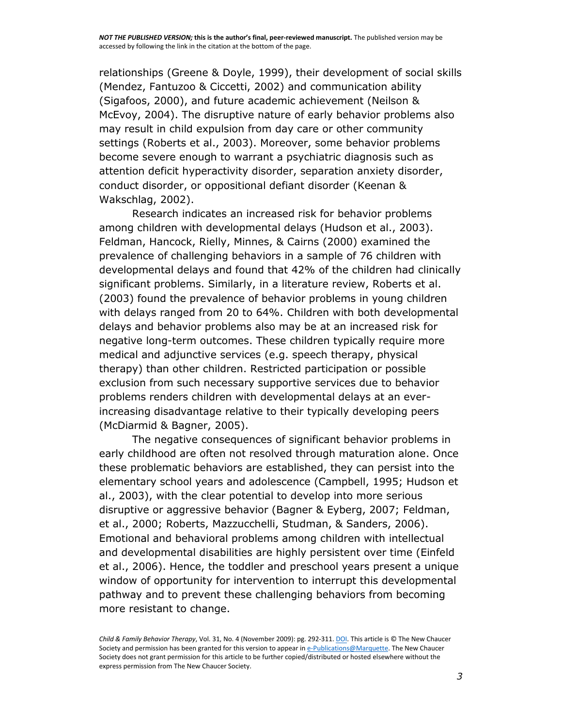relationships (Greene & Doyle, 1999), their development of social skills (Mendez, Fantuzoo & Ciccetti, 2002) and communication ability (Sigafoos, 2000), and future academic achievement (Neilson & McEvoy, 2004). The disruptive nature of early behavior problems also may result in child expulsion from day care or other community settings (Roberts et al., 2003). Moreover, some behavior problems become severe enough to warrant a psychiatric diagnosis such as attention deficit hyperactivity disorder, separation anxiety disorder, conduct disorder, or oppositional defiant disorder (Keenan & Wakschlag, 2002).

Research indicates an increased risk for behavior problems among children with developmental delays (Hudson et al., 2003). Feldman, Hancock, Rielly, Minnes, & Cairns (2000) examined the prevalence of challenging behaviors in a sample of 76 children with developmental delays and found that 42% of the children had clinically significant problems. Similarly, in a literature review, Roberts et al. (2003) found the prevalence of behavior problems in young children with delays ranged from 20 to 64%. Children with both developmental delays and behavior problems also may be at an increased risk for negative long-term outcomes. These children typically require more medical and adjunctive services (e.g. speech therapy, physical therapy) than other children. Restricted participation or possible exclusion from such necessary supportive services due to behavior problems renders children with developmental delays at an everincreasing disadvantage relative to their typically developing peers (McDiarmid & Bagner, 2005).

The negative consequences of significant behavior problems in early childhood are often not resolved through maturation alone. Once these problematic behaviors are established, they can persist into the elementary school years and adolescence (Campbell, 1995; Hudson et al., 2003), with the clear potential to develop into more serious disruptive or aggressive behavior (Bagner & Eyberg, 2007; Feldman, et al., 2000; Roberts, Mazzucchelli, Studman, & Sanders, 2006). Emotional and behavioral problems among children with intellectual and developmental disabilities are highly persistent over time (Einfeld et al., 2006). Hence, the toddler and preschool years present a unique window of opportunity for intervention to interrupt this developmental pathway and to prevent these challenging behaviors from becoming more resistant to change.

*Child & Family Behavior Therapy*, Vol. 31, No. 4 (November 2009): pg. 292-311[. DOI.](http://dx.doi.org/10.1080/07317100903311018) This article is © The New Chaucer Society and permission has been granted for this version to appear in [e-Publications@Marquette.](http://epublications.marquette.edu/) The New Chaucer Society does not grant permission for this article to be further copied/distributed or hosted elsewhere without the express permission from The New Chaucer Society.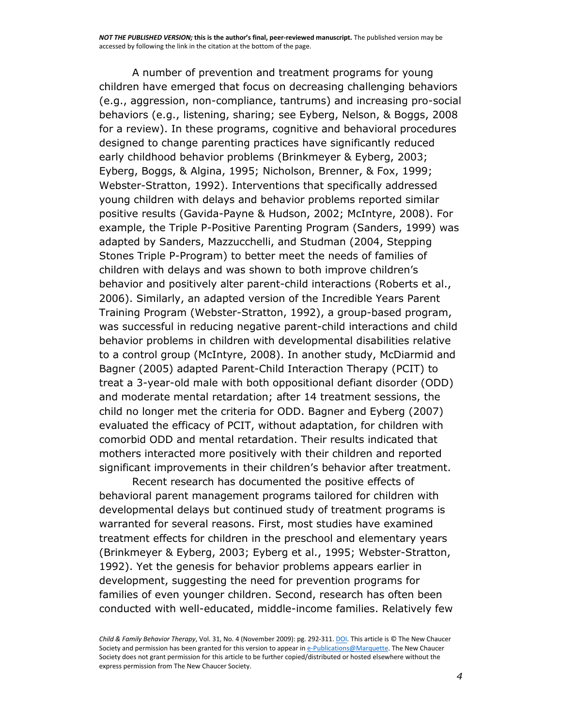A number of prevention and treatment programs for young children have emerged that focus on decreasing challenging behaviors (e.g., aggression, non-compliance, tantrums) and increasing pro-social behaviors (e.g., listening, sharing; see Eyberg, Nelson, & Boggs, 2008 for a review). In these programs, cognitive and behavioral procedures designed to change parenting practices have significantly reduced early childhood behavior problems (Brinkmeyer & Eyberg, 2003; Eyberg, Boggs, & Algina, 1995; Nicholson, Brenner, & Fox, 1999; Webster-Stratton, 1992). Interventions that specifically addressed young children with delays and behavior problems reported similar positive results (Gavida-Payne & Hudson, 2002; McIntyre, 2008). For example, the Triple P-Positive Parenting Program (Sanders, 1999) was adapted by Sanders, Mazzucchelli, and Studman (2004, Stepping Stones Triple P-Program) to better meet the needs of families of children with delays and was shown to both improve children's behavior and positively alter parent-child interactions (Roberts et al., 2006). Similarly, an adapted version of the Incredible Years Parent Training Program (Webster-Stratton, 1992), a group-based program, was successful in reducing negative parent-child interactions and child behavior problems in children with developmental disabilities relative to a control group (McIntyre, 2008). In another study, McDiarmid and Bagner (2005) adapted Parent-Child Interaction Therapy (PCIT) to treat a 3-year-old male with both oppositional defiant disorder (ODD) and moderate mental retardation; after 14 treatment sessions, the child no longer met the criteria for ODD. Bagner and Eyberg (2007) evaluated the efficacy of PCIT, without adaptation, for children with comorbid ODD and mental retardation. Their results indicated that mothers interacted more positively with their children and reported significant improvements in their children's behavior after treatment.

Recent research has documented the positive effects of behavioral parent management programs tailored for children with developmental delays but continued study of treatment programs is warranted for several reasons. First, most studies have examined treatment effects for children in the preschool and elementary years (Brinkmeyer & Eyberg, 2003; Eyberg et al., 1995; Webster-Stratton, 1992). Yet the genesis for behavior problems appears earlier in development, suggesting the need for prevention programs for families of even younger children. Second, research has often been conducted with well-educated, middle-income families. Relatively few

*Child & Family Behavior Therapy*, Vol. 31, No. 4 (November 2009): pg. 292-311[. DOI.](http://dx.doi.org/10.1080/07317100903311018) This article is © The New Chaucer Society and permission has been granted for this version to appear in [e-Publications@Marquette.](http://epublications.marquette.edu/) The New Chaucer Society does not grant permission for this article to be further copied/distributed or hosted elsewhere without the express permission from The New Chaucer Society.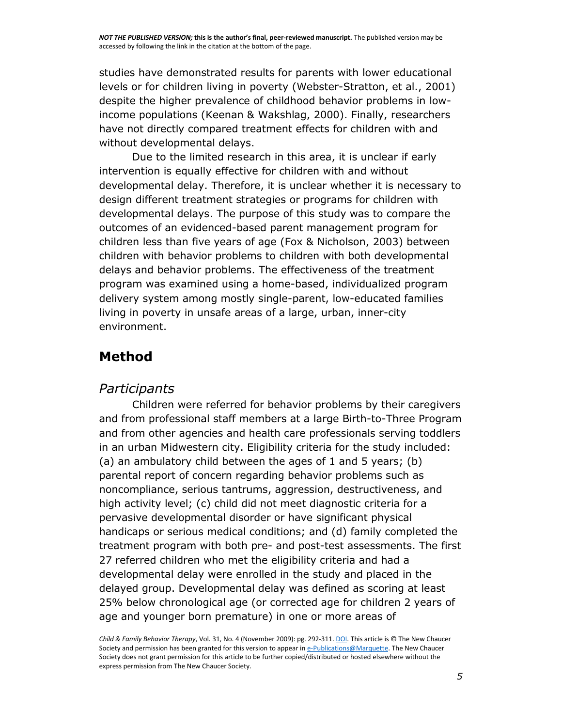studies have demonstrated results for parents with lower educational levels or for children living in poverty (Webster-Stratton, et al., 2001) despite the higher prevalence of childhood behavior problems in lowincome populations (Keenan & Wakshlag, 2000). Finally, researchers have not directly compared treatment effects for children with and without developmental delays.

Due to the limited research in this area, it is unclear if early intervention is equally effective for children with and without developmental delay. Therefore, it is unclear whether it is necessary to design different treatment strategies or programs for children with developmental delays. The purpose of this study was to compare the outcomes of an evidenced-based parent management program for children less than five years of age (Fox & Nicholson, 2003) between children with behavior problems to children with both developmental delays and behavior problems. The effectiveness of the treatment program was examined using a home-based, individualized program delivery system among mostly single-parent, low-educated families living in poverty in unsafe areas of a large, urban, inner-city environment.

# **Method**

## *Participants*

Children were referred for behavior problems by their caregivers and from professional staff members at a large Birth-to-Three Program and from other agencies and health care professionals serving toddlers in an urban Midwestern city. Eligibility criteria for the study included: (a) an ambulatory child between the ages of 1 and 5 years; (b) parental report of concern regarding behavior problems such as noncompliance, serious tantrums, aggression, destructiveness, and high activity level; (c) child did not meet diagnostic criteria for a pervasive developmental disorder or have significant physical handicaps or serious medical conditions; and (d) family completed the treatment program with both pre- and post-test assessments. The first 27 referred children who met the eligibility criteria and had a developmental delay were enrolled in the study and placed in the delayed group. Developmental delay was defined as scoring at least 25% below chronological age (or corrected age for children 2 years of age and younger born premature) in one or more areas of

*Child & Family Behavior Therapy*, Vol. 31, No. 4 (November 2009): pg. 292-311[. DOI.](http://dx.doi.org/10.1080/07317100903311018) This article is © The New Chaucer Society and permission has been granted for this version to appear in [e-Publications@Marquette.](http://epublications.marquette.edu/) The New Chaucer Society does not grant permission for this article to be further copied/distributed or hosted elsewhere without the express permission from The New Chaucer Society.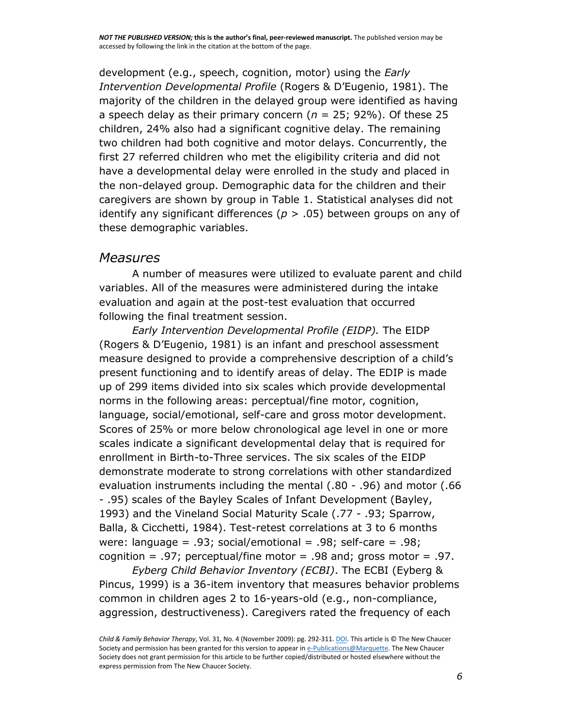development (e.g., speech, cognition, motor) using the *Early Intervention Developmental Profile* (Rogers & D'Eugenio, 1981). The majority of the children in the delayed group were identified as having a speech delay as their primary concern (*n* = 25; 92%). Of these 25 children, 24% also had a significant cognitive delay. The remaining two children had both cognitive and motor delays. Concurrently, the first 27 referred children who met the eligibility criteria and did not have a developmental delay were enrolled in the study and placed in the non-delayed group. Demographic data for the children and their caregivers are shown by group in Table 1. Statistical analyses did not identify any significant differences (*p* > .05) between groups on any of these demographic variables.

#### *Measures*

A number of measures were utilized to evaluate parent and child variables. All of the measures were administered during the intake evaluation and again at the post-test evaluation that occurred following the final treatment session.

*Early Intervention Developmental Profile (EIDP).* The EIDP (Rogers & D'Eugenio, 1981) is an infant and preschool assessment measure designed to provide a comprehensive description of a child's present functioning and to identify areas of delay. The EDIP is made up of 299 items divided into six scales which provide developmental norms in the following areas: perceptual/fine motor, cognition, language, social/emotional, self-care and gross motor development. Scores of 25% or more below chronological age level in one or more scales indicate a significant developmental delay that is required for enrollment in Birth-to-Three services. The six scales of the EIDP demonstrate moderate to strong correlations with other standardized evaluation instruments including the mental (.80 - .96) and motor (.66 - .95) scales of the Bayley Scales of Infant Development (Bayley, 1993) and the Vineland Social Maturity Scale (.77 - .93; Sparrow, Balla, & Cicchetti, 1984). Test-retest correlations at 3 to 6 months were: language =  $.93$ ; social/emotional =  $.98$ ; self-care =  $.98$ ; cognition =  $.97$ ; perceptual/fine motor =  $.98$  and; gross motor =  $.97$ .

*Eyberg Child Behavior Inventory (ECBI)*. The ECBI (Eyberg & Pincus, 1999) is a 36-item inventory that measures behavior problems common in children ages 2 to 16-years-old (e.g., non-compliance, aggression, destructiveness). Caregivers rated the frequency of each

*Child & Family Behavior Therapy*, Vol. 31, No. 4 (November 2009): pg. 292-311[. DOI.](http://dx.doi.org/10.1080/07317100903311018) This article is © The New Chaucer Society and permission has been granted for this version to appear in [e-Publications@Marquette.](http://epublications.marquette.edu/) The New Chaucer Society does not grant permission for this article to be further copied/distributed or hosted elsewhere without the express permission from The New Chaucer Society.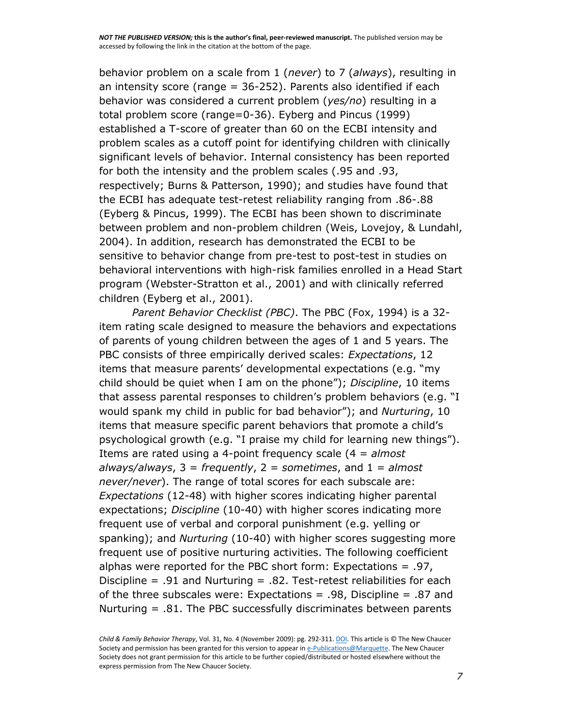behavior problem on a scale from 1 (*never*) to 7 (*always*), resulting in an intensity score (range  $= 36-252$ ). Parents also identified if each behavior was considered a current problem (*yes/no*) resulting in a total problem score (range=0-36). Eyberg and Pincus (1999) established a T-score of greater than 60 on the ECBI intensity and problem scales as a cutoff point for identifying children with clinically significant levels of behavior. Internal consistency has been reported for both the intensity and the problem scales (.95 and .93, respectively; Burns & Patterson, 1990); and studies have found that the ECBI has adequate test-retest reliability ranging from .86-.88 (Eyberg & Pincus, 1999). The ECBI has been shown to discriminate between problem and non-problem children (Weis, Lovejoy, & Lundahl, 2004). In addition, research has demonstrated the ECBI to be sensitive to behavior change from pre-test to post-test in studies on behavioral interventions with high-risk families enrolled in a Head Start program (Webster-Stratton et al., 2001) and with clinically referred children (Eyberg et al., 2001).

*Parent Behavior Checklist (PBC)*. The PBC (Fox, 1994) is a 32 item rating scale designed to measure the behaviors and expectations of parents of young children between the ages of 1 and 5 years. The PBC consists of three empirically derived scales: *Expectations*, 12 items that measure parents' developmental expectations (e.g. "my child should be quiet when I am on the phone"); *Discipline*, 10 items that assess parental responses to children's problem behaviors (e.g. "I would spank my child in public for bad behavior"); and *Nurturing*, 10 items that measure specific parent behaviors that promote a child's psychological growth (e.g. "I praise my child for learning new things"). Items are rated using a 4-point frequency scale (4 = *almost always/always*, 3 = *frequently*, 2 = *sometimes*, and 1 = *almost never/never*). The range of total scores for each subscale are: *Expectations* (12-48) with higher scores indicating higher parental expectations; *Discipline* (10-40) with higher scores indicating more frequent use of verbal and corporal punishment (e.g. yelling or spanking); and *Nurturing* (10-40) with higher scores suggesting more frequent use of positive nurturing activities. The following coefficient alphas were reported for the PBC short form: Expectations = .97, Discipline =  $.91$  and Nurturing =  $.82$ . Test-retest reliabilities for each of the three subscales were: Expectations =  $.98$ , Discipline =  $.87$  and Nurturing = .81. The PBC successfully discriminates between parents

*Child & Family Behavior Therapy*, Vol. 31, No. 4 (November 2009): pg. 292-311[. DOI.](http://dx.doi.org/10.1080/07317100903311018) This article is © The New Chaucer Society and permission has been granted for this version to appear in [e-Publications@Marquette.](http://epublications.marquette.edu/) The New Chaucer Society does not grant permission for this article to be further copied/distributed or hosted elsewhere without the express permission from The New Chaucer Society.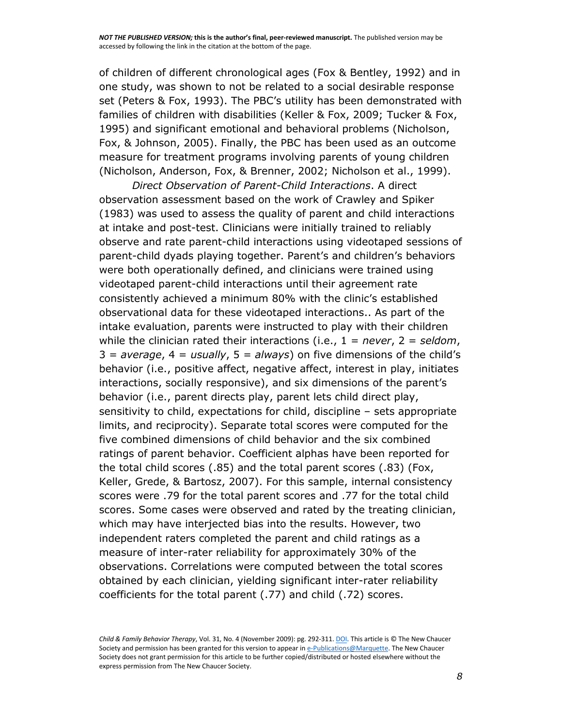of children of different chronological ages (Fox & Bentley, 1992) and in one study, was shown to not be related to a social desirable response set (Peters & Fox, 1993). The PBC's utility has been demonstrated with families of children with disabilities (Keller & Fox, 2009; Tucker & Fox, 1995) and significant emotional and behavioral problems (Nicholson, Fox, & Johnson, 2005). Finally, the PBC has been used as an outcome measure for treatment programs involving parents of young children (Nicholson, Anderson, Fox, & Brenner, 2002; Nicholson et al., 1999).

*Direct Observation of Parent-Child Interactions*. A direct observation assessment based on the work of Crawley and Spiker (1983) was used to assess the quality of parent and child interactions at intake and post-test. Clinicians were initially trained to reliably observe and rate parent-child interactions using videotaped sessions of parent-child dyads playing together. Parent's and children's behaviors were both operationally defined, and clinicians were trained using videotaped parent-child interactions until their agreement rate consistently achieved a minimum 80% with the clinic's established observational data for these videotaped interactions.. As part of the intake evaluation, parents were instructed to play with their children while the clinician rated their interactions (i.e., 1 = *never*, 2 = *seldom*, 3 = *average*, 4 = *usually*, 5 = *always*) on five dimensions of the child's behavior (i.e., positive affect, negative affect, interest in play, initiates interactions, socially responsive), and six dimensions of the parent's behavior (i.e., parent directs play, parent lets child direct play, sensitivity to child, expectations for child, discipline – sets appropriate limits, and reciprocity). Separate total scores were computed for the five combined dimensions of child behavior and the six combined ratings of parent behavior. Coefficient alphas have been reported for the total child scores (.85) and the total parent scores (.83) (Fox, Keller, Grede, & Bartosz, 2007). For this sample, internal consistency scores were .79 for the total parent scores and .77 for the total child scores. Some cases were observed and rated by the treating clinician, which may have interjected bias into the results. However, two independent raters completed the parent and child ratings as a measure of inter-rater reliability for approximately 30% of the observations. Correlations were computed between the total scores obtained by each clinician, yielding significant inter-rater reliability coefficients for the total parent (.77) and child (.72) scores.

*Child & Family Behavior Therapy*, Vol. 31, No. 4 (November 2009): pg. 292-311[. DOI.](http://dx.doi.org/10.1080/07317100903311018) This article is © The New Chaucer Society and permission has been granted for this version to appear in [e-Publications@Marquette.](http://epublications.marquette.edu/) The New Chaucer Society does not grant permission for this article to be further copied/distributed or hosted elsewhere without the express permission from The New Chaucer Society.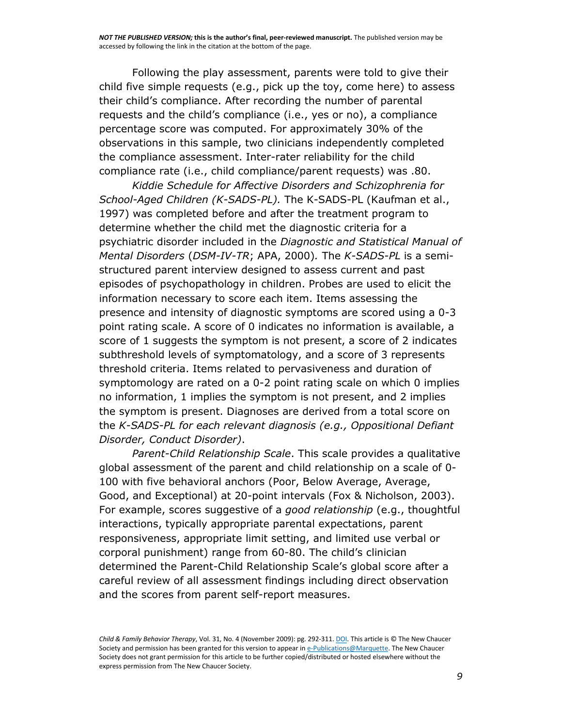Following the play assessment, parents were told to give their child five simple requests (e.g., pick up the toy, come here) to assess their child's compliance. After recording the number of parental requests and the child's compliance (i.e., yes or no), a compliance percentage score was computed. For approximately 30% of the observations in this sample, two clinicians independently completed the compliance assessment. Inter-rater reliability for the child compliance rate (i.e., child compliance/parent requests) was .80.

*Kiddie Schedule for Affective Disorders and Schizophrenia for School-Aged Children (K-SADS-PL).* The K-SADS-PL (Kaufman et al., 1997) was completed before and after the treatment program to determine whether the child met the diagnostic criteria for a psychiatric disorder included in the *Diagnostic and Statistical Manual of Mental Disorders* (*DSM-IV-TR*; APA, 2000)*.* The *K-SADS-PL* is a semistructured parent interview designed to assess current and past episodes of psychopathology in children. Probes are used to elicit the information necessary to score each item. Items assessing the presence and intensity of diagnostic symptoms are scored using a 0-3 point rating scale. A score of 0 indicates no information is available, a score of 1 suggests the symptom is not present, a score of 2 indicates subthreshold levels of symptomatology, and a score of 3 represents threshold criteria. Items related to pervasiveness and duration of symptomology are rated on a 0-2 point rating scale on which 0 implies no information, 1 implies the symptom is not present, and 2 implies the symptom is present. Diagnoses are derived from a total score on the *K-SADS-PL for each relevant diagnosis (e.g., Oppositional Defiant Disorder, Conduct Disorder)*.

*Parent-Child Relationship Scale*. This scale provides a qualitative global assessment of the parent and child relationship on a scale of 0- 100 with five behavioral anchors (Poor, Below Average, Average, Good, and Exceptional) at 20-point intervals (Fox & Nicholson, 2003). For example, scores suggestive of a *good relationship* (e.g., thoughtful interactions, typically appropriate parental expectations, parent responsiveness, appropriate limit setting, and limited use verbal or corporal punishment) range from 60-80. The child's clinician determined the Parent-Child Relationship Scale's global score after a careful review of all assessment findings including direct observation and the scores from parent self-report measures.

*Child & Family Behavior Therapy*, Vol. 31, No. 4 (November 2009): pg. 292-311[. DOI.](http://dx.doi.org/10.1080/07317100903311018) This article is © The New Chaucer Society and permission has been granted for this version to appear in [e-Publications@Marquette.](http://epublications.marquette.edu/) The New Chaucer Society does not grant permission for this article to be further copied/distributed or hosted elsewhere without the express permission from The New Chaucer Society.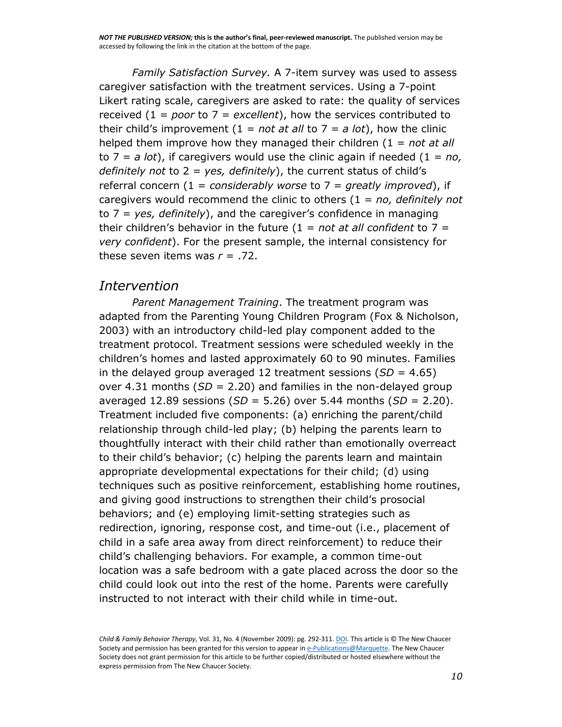*Family Satisfaction Survey.* A 7-item survey was used to assess caregiver satisfaction with the treatment services. Using a 7-point Likert rating scale, caregivers are asked to rate: the quality of services received (1 = *poor* to 7 = *excellent*), how the services contributed to their child's improvement  $(1 = not at all to 7 = a lot)$ , how the clinic helped them improve how they managed their children (1 = *not at all*  to  $7 = a$  *lot*), if caregivers would use the clinic again if needed  $(1 = no,$ *definitely not* to 2 = *yes, definitely*), the current status of child's referral concern (1 = *considerably worse* to 7 = *greatly improved*), if caregivers would recommend the clinic to others (1 = *no, definitely not*  to 7 = *yes, definitely*), and the caregiver's confidence in managing their children's behavior in the future (1 = *not at all confident* to 7 = *very confident*). For the present sample, the internal consistency for these seven items was  $r = .72$ .

### *Intervention*

*Parent Management Training*. The treatment program was adapted from the Parenting Young Children Program (Fox & Nicholson, 2003) with an introductory child-led play component added to the treatment protocol. Treatment sessions were scheduled weekly in the children's homes and lasted approximately 60 to 90 minutes. Families in the delayed group averaged 12 treatment sessions (*SD* = 4.65) over 4.31 months (*SD* = 2.20) and families in the non-delayed group averaged 12.89 sessions (*SD* = 5.26) over 5.44 months (*SD* = 2.20). Treatment included five components: (a) enriching the parent/child relationship through child-led play; (b) helping the parents learn to thoughtfully interact with their child rather than emotionally overreact to their child's behavior; (c) helping the parents learn and maintain appropriate developmental expectations for their child; (d) using techniques such as positive reinforcement, establishing home routines, and giving good instructions to strengthen their child's prosocial behaviors; and (e) employing limit-setting strategies such as redirection, ignoring, response cost, and time-out (i.e., placement of child in a safe area away from direct reinforcement) to reduce their child's challenging behaviors. For example, a common time-out location was a safe bedroom with a gate placed across the door so the child could look out into the rest of the home. Parents were carefully instructed to not interact with their child while in time-out.

*Child & Family Behavior Therapy*, Vol. 31, No. 4 (November 2009): pg. 292-311[. DOI.](http://dx.doi.org/10.1080/07317100903311018) This article is © The New Chaucer Society and permission has been granted for this version to appear in [e-Publications@Marquette.](http://epublications.marquette.edu/) The New Chaucer Society does not grant permission for this article to be further copied/distributed or hosted elsewhere without the express permission from The New Chaucer Society.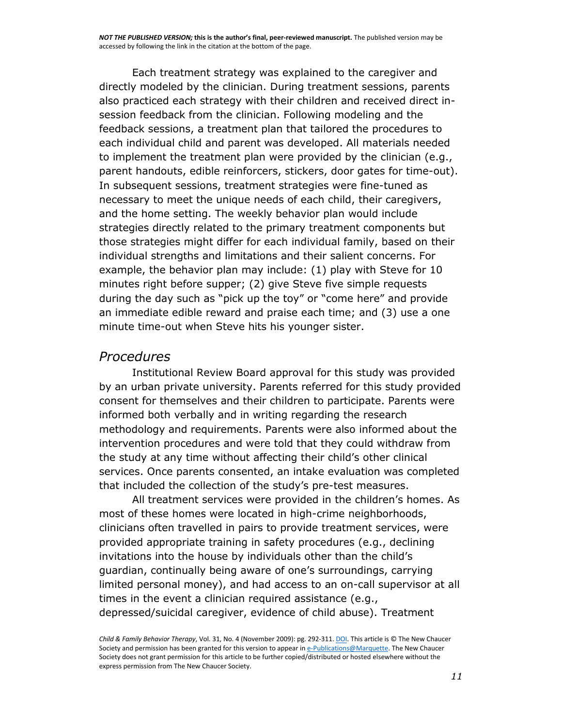Each treatment strategy was explained to the caregiver and directly modeled by the clinician. During treatment sessions, parents also practiced each strategy with their children and received direct insession feedback from the clinician. Following modeling and the feedback sessions, a treatment plan that tailored the procedures to each individual child and parent was developed. All materials needed to implement the treatment plan were provided by the clinician (e.g., parent handouts, edible reinforcers, stickers, door gates for time-out). In subsequent sessions, treatment strategies were fine-tuned as necessary to meet the unique needs of each child, their caregivers, and the home setting. The weekly behavior plan would include strategies directly related to the primary treatment components but those strategies might differ for each individual family, based on their individual strengths and limitations and their salient concerns. For example, the behavior plan may include: (1) play with Steve for 10 minutes right before supper; (2) give Steve five simple requests during the day such as "pick up the toy" or "come here" and provide an immediate edible reward and praise each time; and (3) use a one minute time-out when Steve hits his younger sister.

#### *Procedures*

Institutional Review Board approval for this study was provided by an urban private university. Parents referred for this study provided consent for themselves and their children to participate. Parents were informed both verbally and in writing regarding the research methodology and requirements. Parents were also informed about the intervention procedures and were told that they could withdraw from the study at any time without affecting their child's other clinical services. Once parents consented, an intake evaluation was completed that included the collection of the study's pre-test measures.

All treatment services were provided in the children's homes. As most of these homes were located in high-crime neighborhoods, clinicians often travelled in pairs to provide treatment services, were provided appropriate training in safety procedures (e.g., declining invitations into the house by individuals other than the child's guardian, continually being aware of one's surroundings, carrying limited personal money), and had access to an on-call supervisor at all times in the event a clinician required assistance (e.g., depressed/suicidal caregiver, evidence of child abuse). Treatment

*Child & Family Behavior Therapy*, Vol. 31, No. 4 (November 2009): pg. 292-311[. DOI.](http://dx.doi.org/10.1080/07317100903311018) This article is © The New Chaucer Society and permission has been granted for this version to appear in [e-Publications@Marquette.](http://epublications.marquette.edu/) The New Chaucer Society does not grant permission for this article to be further copied/distributed or hosted elsewhere without the express permission from The New Chaucer Society.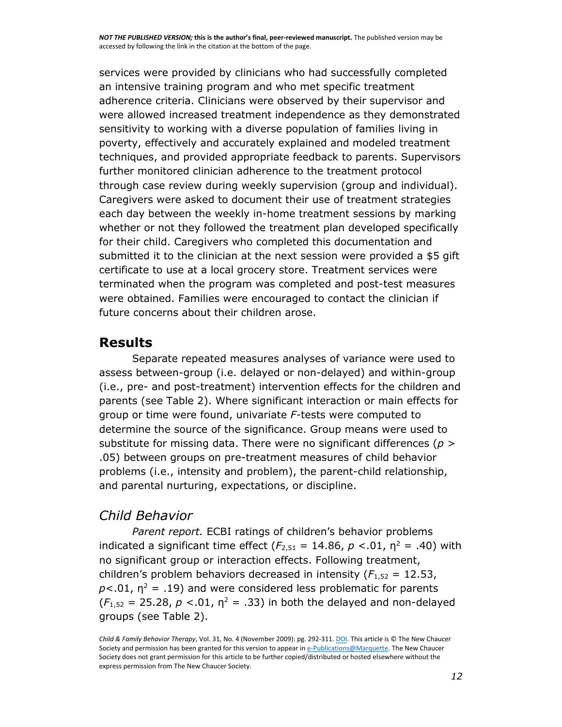services were provided by clinicians who had successfully completed an intensive training program and who met specific treatment adherence criteria. Clinicians were observed by their supervisor and were allowed increased treatment independence as they demonstrated sensitivity to working with a diverse population of families living in poverty, effectively and accurately explained and modeled treatment techniques, and provided appropriate feedback to parents. Supervisors further monitored clinician adherence to the treatment protocol through case review during weekly supervision (group and individual). Caregivers were asked to document their use of treatment strategies each day between the weekly in-home treatment sessions by marking whether or not they followed the treatment plan developed specifically for their child. Caregivers who completed this documentation and submitted it to the clinician at the next session were provided a \$5 gift certificate to use at a local grocery store. Treatment services were terminated when the program was completed and post-test measures were obtained. Families were encouraged to contact the clinician if future concerns about their children arose.

### **Results**

Separate repeated measures analyses of variance were used to assess between-group (i.e. delayed or non-delayed) and within-group (i.e., pre- and post-treatment) intervention effects for the children and parents (see Table 2). Where significant interaction or main effects for group or time were found, univariate *F-*tests were computed to determine the source of the significance. Group means were used to substitute for missing data. There were no significant differences (*p* > .05) between groups on pre-treatment measures of child behavior problems (i.e., intensity and problem), the parent-child relationship, and parental nurturing, expectations, or discipline.

## *Child Behavior*

*Parent report.* ECBI ratings of children's behavior problems indicated a significant time effect  $(F_{2,51} = 14.86, p < 0.01, n^2 = .40)$  with no significant group or interaction effects. Following treatment, children's problem behaviors decreased in intensity  $(F_{1,52} = 12.53)$ ,  $p$ <.01,  $n^2$  = .19) and were considered less problematic for parents  $(F_{1,52} = 25.28, p < .01, \eta^2 = .33)$  in both the delayed and non-delayed groups (see Table 2).

*Child & Family Behavior Therapy*, Vol. 31, No. 4 (November 2009): pg. 292-311[. DOI.](http://dx.doi.org/10.1080/07317100903311018) This article is © The New Chaucer Society and permission has been granted for this version to appear in [e-Publications@Marquette.](http://epublications.marquette.edu/) The New Chaucer Society does not grant permission for this article to be further copied/distributed or hosted elsewhere without the express permission from The New Chaucer Society.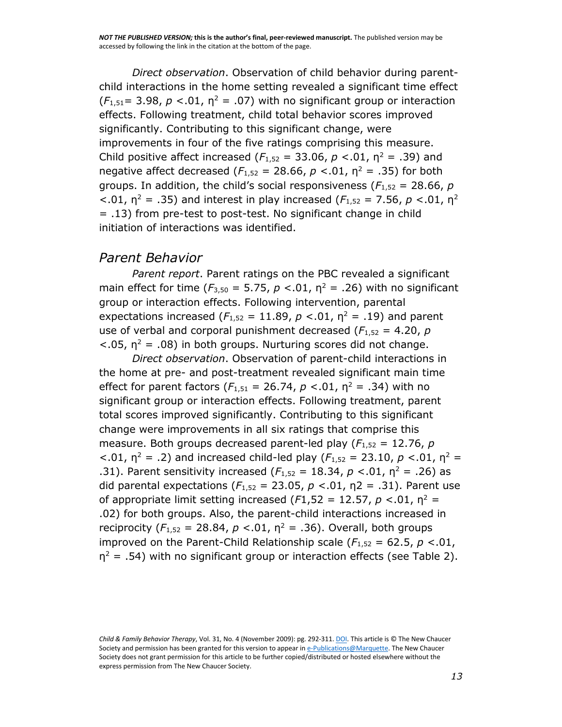*Direct observation*. Observation of child behavior during parentchild interactions in the home setting revealed a significant time effect  $(F_{1,51} = 3.98, p < .01, \eta^2 = .07)$  with no significant group or interaction effects. Following treatment, child total behavior scores improved significantly. Contributing to this significant change, were improvements in four of the five ratings comprising this measure. Child positive affect increased ( $F_{1,52}$  = 33.06,  $p < .01$ ,  $n^2$  = .39) and negative affect decreased  $(F_{1,52} = 28.66, p < .01, n^2 = .35)$  for both groups. In addition, the child's social responsiveness ( $F_{1,52}$  = 28.66, *p*  $<$ .01,  $\eta$ <sup>2</sup> = .35) and interest in play increased ( $F_{1,52}$  = 7.56,  $p < 01$ ,  $\eta$ <sup>2</sup> = .13) from pre-test to post-test. No significant change in child initiation of interactions was identified.

#### *Parent Behavior*

*Parent report*. Parent ratings on the PBC revealed a significant main effect for time  $(F_{3,50} = 5.75, p < 0.01, n^2 = .26)$  with no significant group or interaction effects. Following intervention, parental expectations increased  $(F_{1,52} = 11.89, p < .01, n^2 = .19)$  and parent use of verbal and corporal punishment decreased  $(F_{1,52} = 4.20, p)$  $<$ .05,  $\eta$ <sup>2</sup> = .08) in both groups. Nurturing scores did not change.

*Direct observation*. Observation of parent-child interactions in the home at pre- and post-treatment revealed significant main time effect for parent factors  $(F_{1,51} = 26.74, p < .01, n^2 = .34)$  with no significant group or interaction effects. Following treatment, parent total scores improved significantly. Contributing to this significant change were improvements in all six ratings that comprise this measure. Both groups decreased parent-led play (*F*1,52 = 12.76, *p*   $<$ .01,  $\eta$ <sup>2</sup> = .2) and increased child-led play ( $F_{1,52}$  = 23.10, *p* <.01,  $\eta$ <sup>2</sup> = .31). Parent sensitivity increased  $(F_{1,52} = 18.34, p < .01, n^2 = .26)$  as did parental expectations  $(F_{1,52} = 23.05, p < 0.01, \eta^2 = 0.31)$ . Parent use of appropriate limit setting increased ( $F1,52 = 12.57$ ,  $p < 0.01$ ,  $p^2 =$ .02) for both groups. Also, the parent-child interactions increased in reciprocity ( $F_{1,52}$  = 28.84,  $p < .01$ ,  $n^2 = .36$ ). Overall, both groups improved on the Parent-Child Relationship scale  $(F_{1,52} = 62.5, p < 0.01,$  $\eta^2$  = .54) with no significant group or interaction effects (see Table 2).

*Child & Family Behavior Therapy*, Vol. 31, No. 4 (November 2009): pg. 292-311[. DOI.](http://dx.doi.org/10.1080/07317100903311018) This article is © The New Chaucer Society and permission has been granted for this version to appear in [e-Publications@Marquette.](http://epublications.marquette.edu/) The New Chaucer Society does not grant permission for this article to be further copied/distributed or hosted elsewhere without the express permission from The New Chaucer Society.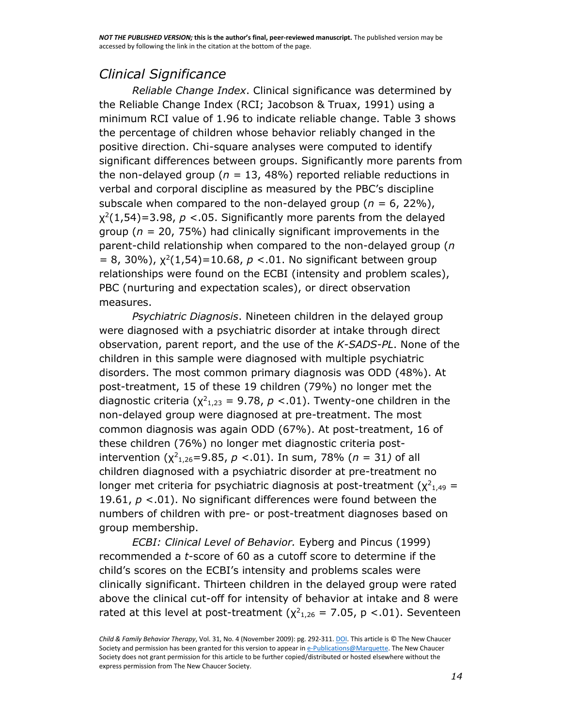# *Clinical Significance*

*Reliable Change Index*. Clinical significance was determined by the Reliable Change Index (RCI; Jacobson & Truax, 1991) using a minimum RCI value of 1.96 to indicate reliable change. Table 3 shows the percentage of children whose behavior reliably changed in the positive direction. Chi-square analyses were computed to identify significant differences between groups. Significantly more parents from the non-delayed group (*n =* 13, 48%) reported reliable reductions in verbal and corporal discipline as measured by the PBC's discipline subscale when compared to the non-delayed group (*n =* 6, 22%),  $\chi^2(1,54)$ =3.98,  $p < 05$ . Significantly more parents from the delayed group (*n =* 20, 75%) had clinically significant improvements in the parent-child relationship when compared to the non-delayed group (*n*   $= 8, 30\%)$ ,  $\chi^2(1,54) = 10.68$ ,  $p < 0.01$ . No significant between group relationships were found on the ECBI (intensity and problem scales), PBC (nurturing and expectation scales), or direct observation measures.

*Psychiatric Diagnosis*. Nineteen children in the delayed group were diagnosed with a psychiatric disorder at intake through direct observation, parent report, and the use of the *K-SADS-PL*. None of the children in this sample were diagnosed with multiple psychiatric disorders. The most common primary diagnosis was ODD (48%). At post-treatment, 15 of these 19 children (79%) no longer met the diagnostic criteria  $(\chi^2_{1,23} = 9.78, p < 0.01)$ . Twenty-one children in the non-delayed group were diagnosed at pre-treatment. The most common diagnosis was again ODD (67%). At post-treatment, 16 of these children (76%) no longer met diagnostic criteria postintervention  $(\chi^2_{1,26} = 9.85, p < 0.01)$ . In sum, 78% ( $n = 31$ ) of all children diagnosed with a psychiatric disorder at pre-treatment no longer met criteria for psychiatric diagnosis at post-treatment  $(\chi^2_{1,49} =$ 19.61,  $p < 01$ ). No significant differences were found between the numbers of children with pre- or post-treatment diagnoses based on group membership.

*ECBI: Clinical Level of Behavior.* Eyberg and Pincus (1999) recommended a *t*-score of 60 as a cutoff score to determine if the child's scores on the ECBI's intensity and problems scales were clinically significant. Thirteen children in the delayed group were rated above the clinical cut-off for intensity of behavior at intake and 8 were rated at this level at post-treatment ( $\chi^2_{1,26}$  = 7.05, p <.01). Seventeen

*Child & Family Behavior Therapy*, Vol. 31, No. 4 (November 2009): pg. 292-311[. DOI.](http://dx.doi.org/10.1080/07317100903311018) This article is © The New Chaucer Society and permission has been granted for this version to appear in [e-Publications@Marquette.](http://epublications.marquette.edu/) The New Chaucer Society does not grant permission for this article to be further copied/distributed or hosted elsewhere without the express permission from The New Chaucer Society.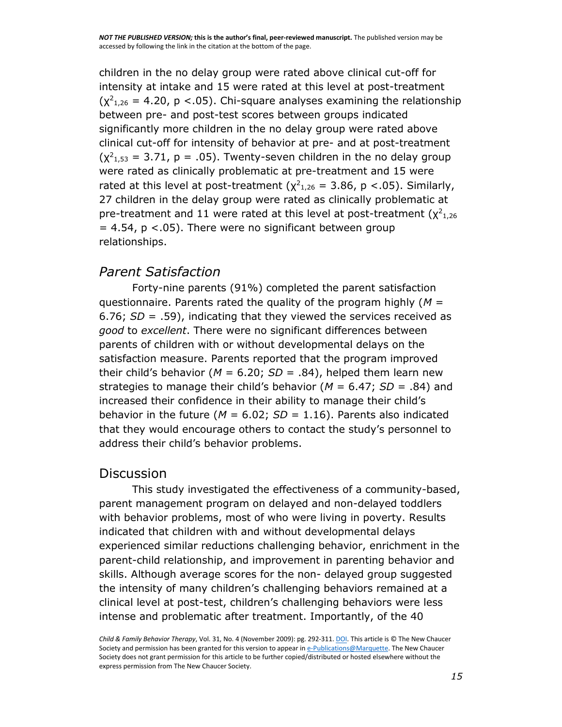children in the no delay group were rated above clinical cut-off for intensity at intake and 15 were rated at this level at post-treatment  $(\chi^2_{1,26} = 4.20, p < .05)$ . Chi-square analyses examining the relationship between pre- and post-test scores between groups indicated significantly more children in the no delay group were rated above clinical cut-off for intensity of behavior at pre- and at post-treatment  $(\chi^2_{1,53} = 3.71, p = .05)$ . Twenty-seven children in the no delay group were rated as clinically problematic at pre-treatment and 15 were rated at this level at post-treatment  $(\chi^2_{1,26} = 3.86, p < .05)$ . Similarly, 27 children in the delay group were rated as clinically problematic at pre-treatment and 11 were rated at this level at post-treatment  $(\chi^2_{1,26})$  $= 4.54$ ,  $p < .05$ ). There were no significant between group relationships.

## *Parent Satisfaction*

Forty-nine parents (91%) completed the parent satisfaction questionnaire. Parents rated the quality of the program highly (*M* = 6.76; *SD* = .59), indicating that they viewed the services received as *good* to *excellent*. There were no significant differences between parents of children with or without developmental delays on the satisfaction measure. Parents reported that the program improved their child's behavior (*M* = 6.20; *SD* = .84), helped them learn new strategies to manage their child's behavior (*M* = 6.47; *SD* = .84) and increased their confidence in their ability to manage their child's behavior in the future ( $M = 6.02$ ;  $SD = 1.16$ ). Parents also indicated that they would encourage others to contact the study's personnel to address their child's behavior problems.

#### **Discussion**

This study investigated the effectiveness of a community-based, parent management program on delayed and non-delayed toddlers with behavior problems, most of who were living in poverty. Results indicated that children with and without developmental delays experienced similar reductions challenging behavior, enrichment in the parent-child relationship, and improvement in parenting behavior and skills. Although average scores for the non- delayed group suggested the intensity of many children's challenging behaviors remained at a clinical level at post-test, children's challenging behaviors were less intense and problematic after treatment. Importantly, of the 40

*Child & Family Behavior Therapy*, Vol. 31, No. 4 (November 2009): pg. 292-311[. DOI.](http://dx.doi.org/10.1080/07317100903311018) This article is © The New Chaucer Society and permission has been granted for this version to appear in [e-Publications@Marquette.](http://epublications.marquette.edu/) The New Chaucer Society does not grant permission for this article to be further copied/distributed or hosted elsewhere without the express permission from The New Chaucer Society.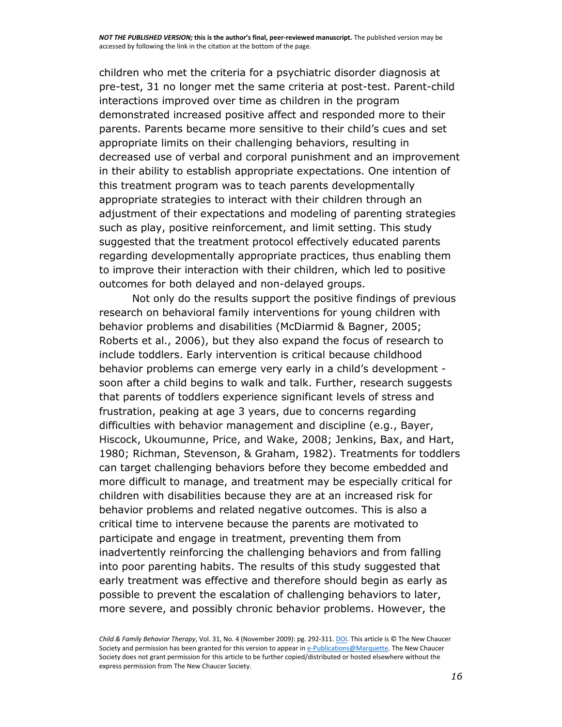children who met the criteria for a psychiatric disorder diagnosis at pre-test, 31 no longer met the same criteria at post-test. Parent-child interactions improved over time as children in the program demonstrated increased positive affect and responded more to their parents. Parents became more sensitive to their child's cues and set appropriate limits on their challenging behaviors, resulting in decreased use of verbal and corporal punishment and an improvement in their ability to establish appropriate expectations. One intention of this treatment program was to teach parents developmentally appropriate strategies to interact with their children through an adjustment of their expectations and modeling of parenting strategies such as play, positive reinforcement, and limit setting. This study suggested that the treatment protocol effectively educated parents regarding developmentally appropriate practices, thus enabling them to improve their interaction with their children, which led to positive outcomes for both delayed and non-delayed groups.

Not only do the results support the positive findings of previous research on behavioral family interventions for young children with behavior problems and disabilities (McDiarmid & Bagner, 2005; Roberts et al., 2006), but they also expand the focus of research to include toddlers. Early intervention is critical because childhood behavior problems can emerge very early in a child's development soon after a child begins to walk and talk. Further, research suggests that parents of toddlers experience significant levels of stress and frustration, peaking at age 3 years, due to concerns regarding difficulties with behavior management and discipline (e.g., Bayer, Hiscock, Ukoumunne, Price, and Wake, 2008; Jenkins, Bax, and Hart, 1980; Richman, Stevenson, & Graham, 1982). Treatments for toddlers can target challenging behaviors before they become embedded and more difficult to manage, and treatment may be especially critical for children with disabilities because they are at an increased risk for behavior problems and related negative outcomes. This is also a critical time to intervene because the parents are motivated to participate and engage in treatment, preventing them from inadvertently reinforcing the challenging behaviors and from falling into poor parenting habits. The results of this study suggested that early treatment was effective and therefore should begin as early as possible to prevent the escalation of challenging behaviors to later, more severe, and possibly chronic behavior problems. However, the

*Child & Family Behavior Therapy*, Vol. 31, No. 4 (November 2009): pg. 292-311[. DOI.](http://dx.doi.org/10.1080/07317100903311018) This article is © The New Chaucer Society and permission has been granted for this version to appear in [e-Publications@Marquette.](http://epublications.marquette.edu/) The New Chaucer Society does not grant permission for this article to be further copied/distributed or hosted elsewhere without the express permission from The New Chaucer Society.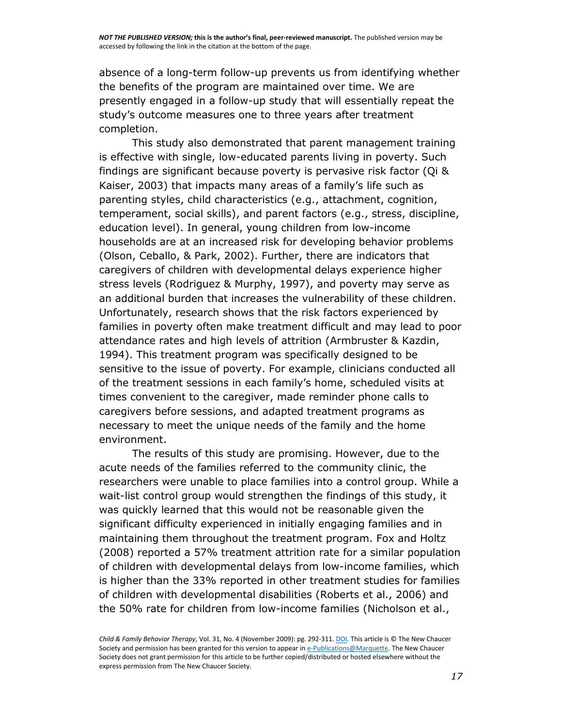absence of a long-term follow-up prevents us from identifying whether the benefits of the program are maintained over time. We are presently engaged in a follow-up study that will essentially repeat the study's outcome measures one to three years after treatment completion.

This study also demonstrated that parent management training is effective with single, low-educated parents living in poverty. Such findings are significant because poverty is pervasive risk factor (Qi & Kaiser, 2003) that impacts many areas of a family's life such as parenting styles, child characteristics (e.g., attachment, cognition, temperament, social skills), and parent factors (e.g., stress, discipline, education level). In general, young children from low-income households are at an increased risk for developing behavior problems (Olson, Ceballo, & Park, 2002). Further, there are indicators that caregivers of children with developmental delays experience higher stress levels (Rodriguez & Murphy, 1997), and poverty may serve as an additional burden that increases the vulnerability of these children. Unfortunately, research shows that the risk factors experienced by families in poverty often make treatment difficult and may lead to poor attendance rates and high levels of attrition (Armbruster & Kazdin, 1994). This treatment program was specifically designed to be sensitive to the issue of poverty. For example, clinicians conducted all of the treatment sessions in each family's home, scheduled visits at times convenient to the caregiver, made reminder phone calls to caregivers before sessions, and adapted treatment programs as necessary to meet the unique needs of the family and the home environment.

The results of this study are promising. However, due to the acute needs of the families referred to the community clinic, the researchers were unable to place families into a control group. While a wait-list control group would strengthen the findings of this study, it was quickly learned that this would not be reasonable given the significant difficulty experienced in initially engaging families and in maintaining them throughout the treatment program. Fox and Holtz (2008) reported a 57% treatment attrition rate for a similar population of children with developmental delays from low-income families, which is higher than the 33% reported in other treatment studies for families of children with developmental disabilities (Roberts et al., 2006) and the 50% rate for children from low-income families (Nicholson et al.,

*Child & Family Behavior Therapy*, Vol. 31, No. 4 (November 2009): pg. 292-311[. DOI.](http://dx.doi.org/10.1080/07317100903311018) This article is © The New Chaucer Society and permission has been granted for this version to appear in [e-Publications@Marquette.](http://epublications.marquette.edu/) The New Chaucer Society does not grant permission for this article to be further copied/distributed or hosted elsewhere without the express permission from The New Chaucer Society.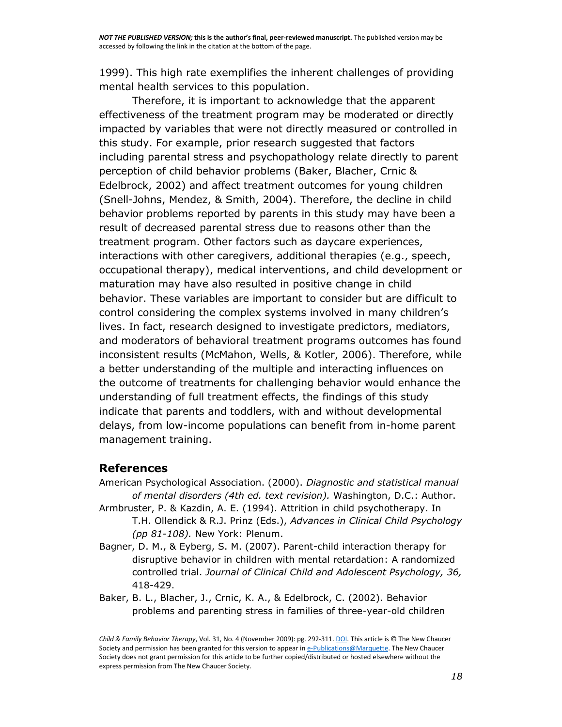1999). This high rate exemplifies the inherent challenges of providing mental health services to this population.

Therefore, it is important to acknowledge that the apparent effectiveness of the treatment program may be moderated or directly impacted by variables that were not directly measured or controlled in this study. For example, prior research suggested that factors including parental stress and psychopathology relate directly to parent perception of child behavior problems (Baker, Blacher, Crnic & Edelbrock, 2002) and affect treatment outcomes for young children (Snell-Johns, Mendez, & Smith, 2004). Therefore, the decline in child behavior problems reported by parents in this study may have been a result of decreased parental stress due to reasons other than the treatment program. Other factors such as daycare experiences, interactions with other caregivers, additional therapies (e.g., speech, occupational therapy), medical interventions, and child development or maturation may have also resulted in positive change in child behavior. These variables are important to consider but are difficult to control considering the complex systems involved in many children's lives. In fact, research designed to investigate predictors, mediators, and moderators of behavioral treatment programs outcomes has found inconsistent results (McMahon, Wells, & Kotler, 2006). Therefore, while a better understanding of the multiple and interacting influences on the outcome of treatments for challenging behavior would enhance the understanding of full treatment effects, the findings of this study indicate that parents and toddlers, with and without developmental delays, from low-income populations can benefit from in-home parent management training.

#### **References**

- American Psychological Association. (2000). *Diagnostic and statistical manual of mental disorders (4th ed. text revision).* Washington, D.C.: Author.
- Armbruster, P. & Kazdin, A. E. (1994). Attrition in child psychotherapy. In T.H. Ollendick & R.J. Prinz (Eds.), *Advances in Clinical Child Psychology (pp 81-108).* New York: Plenum.
- Bagner, D. M., & Eyberg, S. M. (2007). Parent-child interaction therapy for disruptive behavior in children with mental retardation: A randomized controlled trial. *Journal of Clinical Child and Adolescent Psychology, 36,*  418-429.
- Baker, B. L., Blacher, J., Crnic, K. A., & Edelbrock, C. (2002). Behavior problems and parenting stress in families of three-year-old children

*Child & Family Behavior Therapy*, Vol. 31, No. 4 (November 2009): pg. 292-311[. DOI.](http://dx.doi.org/10.1080/07317100903311018) This article is © The New Chaucer Society and permission has been granted for this version to appear in [e-Publications@Marquette.](http://epublications.marquette.edu/) The New Chaucer Society does not grant permission for this article to be further copied/distributed or hosted elsewhere without the express permission from The New Chaucer Society.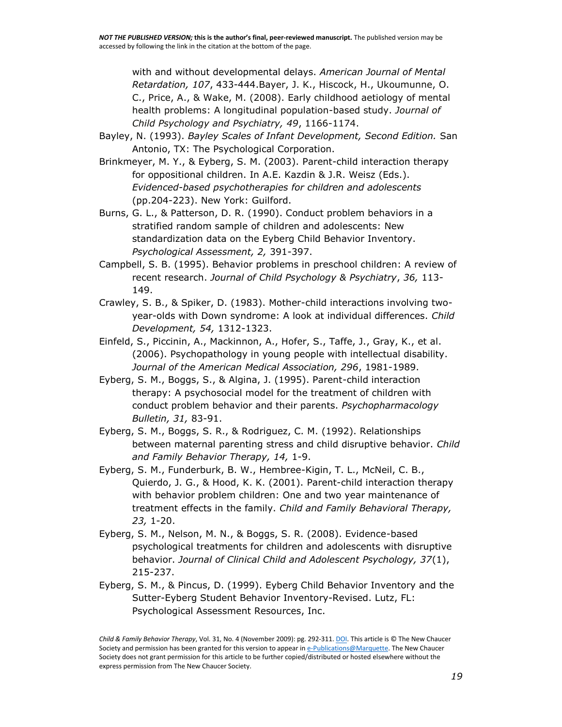with and without developmental delays. *American Journal of Mental Retardation, 107*, 433-444.Bayer, J. K., Hiscock, H., Ukoumunne, O. C., Price, A., & Wake, M. (2008). Early childhood aetiology of mental health problems: A longitudinal population-based study. *Journal of Child Psychology and Psychiatry, 49*, 1166-1174.

- Bayley, N. (1993). *Bayley Scales of Infant Development, Second Edition.* San Antonio, TX: The Psychological Corporation.
- Brinkmeyer, M. Y., & Eyberg, S. M. (2003). Parent-child interaction therapy for oppositional children. In A.E. Kazdin & J.R. Weisz (Eds.). *Evidenced-based psychotherapies for children and adolescents*  (pp.204-223). New York: Guilford.
- Burns, G. L., & Patterson, D. R. (1990). Conduct problem behaviors in a stratified random sample of children and adolescents: New standardization data on the Eyberg Child Behavior Inventory. *Psychological Assessment, 2,* 391-397.
- Campbell, S. B. (1995). Behavior problems in preschool children: A review of recent research. *Journal of Child Psychology & Psychiatry*, *36,* 113- 149.
- Crawley, S. B., & Spiker, D. (1983). Mother-child interactions involving twoyear-olds with Down syndrome: A look at individual differences. *Child Development, 54,* 1312-1323.
- Einfeld, S., Piccinin, A., Mackinnon, A., Hofer, S., Taffe, J., Gray, K., et al. (2006). Psychopathology in young people with intellectual disability. *Journal of the American Medical Association, 296*, 1981-1989.
- Eyberg, S. M., Boggs, S., & Algina, J. (1995). Parent-child interaction therapy: A psychosocial model for the treatment of children with conduct problem behavior and their parents. *Psychopharmacology Bulletin, 31,* 83-91.
- Eyberg, S. M., Boggs, S. R., & Rodriguez, C. M. (1992). Relationships between maternal parenting stress and child disruptive behavior. *Child and Family Behavior Therapy, 14,* 1-9.
- Eyberg, S. M., Funderburk, B. W., Hembree-Kigin, T. L., McNeil, C. B., Quierdo, J. G., & Hood, K. K. (2001). Parent-child interaction therapy with behavior problem children: One and two year maintenance of treatment effects in the family. *Child and Family Behavioral Therapy, 23,* 1-20.
- Eyberg, S. M., Nelson, M. N., & Boggs, S. R. (2008). Evidence-based psychological treatments for children and adolescents with disruptive behavior. *Journal of Clinical Child and Adolescent Psychology, 37*(1), 215-237.
- Eyberg, S. M., & Pincus, D. (1999). Eyberg Child Behavior Inventory and the Sutter-Eyberg Student Behavior Inventory-Revised. Lutz, FL: Psychological Assessment Resources, Inc.

*Child & Family Behavior Therapy*, Vol. 31, No. 4 (November 2009): pg. 292-311[. DOI.](http://dx.doi.org/10.1080/07317100903311018) This article is © The New Chaucer Society and permission has been granted for this version to appear in [e-Publications@Marquette.](http://epublications.marquette.edu/) The New Chaucer Society does not grant permission for this article to be further copied/distributed or hosted elsewhere without the express permission from The New Chaucer Society.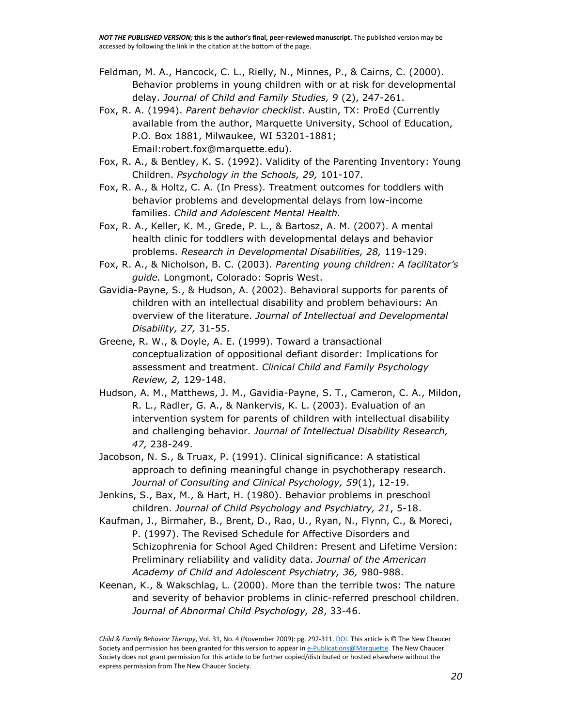- Feldman, M. A., Hancock, C. L., Rielly, N., Minnes, P., & Cairns, C. (2000). Behavior problems in young children with or at risk for developmental delay. *Journal of Child and Family Studies, 9* (2), 247-261.
- Fox, R. A. (1994). *Parent behavior checklist*. Austin, TX: ProEd (Currently available from the author, Marquette University, School of Education, P.O. Box 1881, Milwaukee, WI 53201-1881; Email:robert.fox@marquette.edu).
- Fox, R. A., & Bentley, K. S. (1992). Validity of the Parenting Inventory: Young Children. *Psychology in the Schools, 29,* 101-107.
- Fox, R. A., & Holtz, C. A. (In Press). Treatment outcomes for toddlers with behavior problems and developmental delays from low-income families. *Child and Adolescent Mental Health.*
- Fox, R. A., Keller, K. M., Grede, P. L., & Bartosz, A. M. (2007). A mental health clinic for toddlers with developmental delays and behavior problems. *Research in Developmental Disabilities, 28,* 119-129.
- Fox, R. A., & Nicholson, B. C. (2003). *Parenting young children: A facilitator's guide.* Longmont, Colorado: Sopris West.
- Gavidia-Payne, S., & Hudson, A. (2002). Behavioral supports for parents of children with an intellectual disability and problem behaviours: An overview of the literature. *Journal of Intellectual and Developmental Disability, 27,* 31-55.
- Greene, R. W., & Doyle, A. E. (1999). Toward a transactional conceptualization of oppositional defiant disorder: Implications for assessment and treatment. *Clinical Child and Family Psychology Review, 2,* 129-148.
- Hudson, A. M., Matthews, J. M., Gavidia-Payne, S. T., Cameron, C. A., Mildon, R. L., Radler, G. A., & Nankervis, K. L. (2003). Evaluation of an intervention system for parents of children with intellectual disability and challenging behavior. *Journal of Intellectual Disability Research, 47,* 238-249.
- Jacobson, N. S., & Truax, P. (1991). Clinical significance: A statistical approach to defining meaningful change in psychotherapy research. *Journal of Consulting and Clinical Psychology, 59*(1), 12-19.
- Jenkins, S., Bax, M., & Hart, H. (1980). Behavior problems in preschool children. *Journal of Child Psychology and Psychiatry, 21*, 5-18.
- Kaufman, J., Birmaher, B., Brent, D., Rao, U., Ryan, N., Flynn, C., & Moreci, P. (1997). The Revised Schedule for Affective Disorders and Schizophrenia for School Aged Children: Present and Lifetime Version: Preliminary reliability and validity data. *Journal of the American Academy of Child and Adolescent Psychiatry, 36,* 980-988.
- Keenan, K., & Wakschlag, L. (2000). More than the terrible twos: The nature and severity of behavior problems in clinic-referred preschool children. *Journal of Abnormal Child Psychology, 28*, 33-46.

*Child & Family Behavior Therapy*, Vol. 31, No. 4 (November 2009): pg. 292-311[. DOI.](http://dx.doi.org/10.1080/07317100903311018) This article is © The New Chaucer Society and permission has been granted for this version to appear in [e-Publications@Marquette.](http://epublications.marquette.edu/) The New Chaucer Society does not grant permission for this article to be further copied/distributed or hosted elsewhere without the express permission from The New Chaucer Society.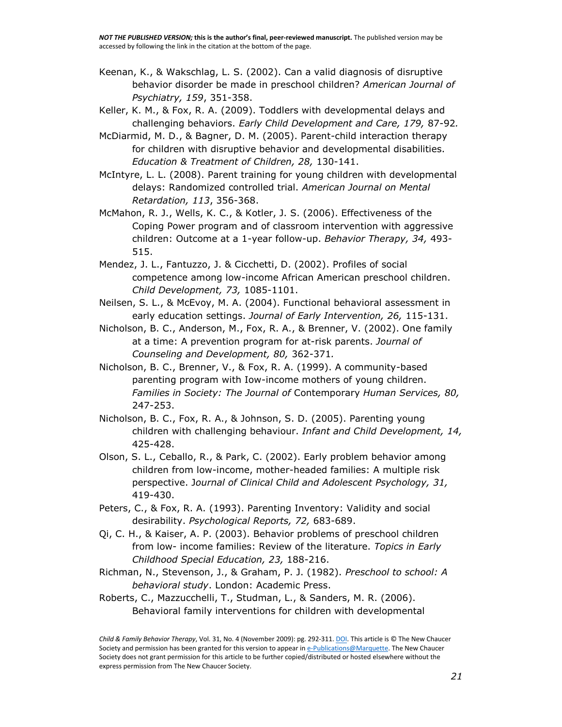- Keenan, K., & Wakschlag, L. S. (2002). Can a valid diagnosis of disruptive behavior disorder be made in preschool children? *American Journal of Psychiatry, 159*, 351-358.
- Keller, K. M., & Fox, R. A. (2009). Toddlers with developmental delays and challenging behaviors. *Early Child Development and Care, 179,* 87-92*.*
- McDiarmid, M. D., & Bagner, D. M. (2005). Parent-child interaction therapy for children with disruptive behavior and developmental disabilities. *Education & Treatment of Children, 28,* 130-141.
- McIntyre, L. L. (2008). Parent training for young children with developmental delays: Randomized controlled trial. *American Journal on Mental Retardation, 113*, 356-368.
- McMahon, R. J., Wells, K. C., & Kotler, J. S. (2006). Effectiveness of the Coping Power program and of classroom intervention with aggressive children: Outcome at a 1-year follow-up. *Behavior Therapy, 34,* 493- 515.
- Mendez, J. L., Fantuzzo, J. & Cicchetti, D. (2002). Profiles of social competence among low-income African American preschool children. *Child Development, 73,* 1085-1101.
- Neilsen, S. L., & McEvoy, M. A. (2004). Functional behavioral assessment in early education settings. *Journal of Early Intervention, 26,* 115-131.
- Nicholson, B. C., Anderson, M., Fox, R. A., & Brenner, V. (2002). One family at a time: A prevention program for at-risk parents. *Journal of Counseling and Development, 80,* 362-371*.*
- Nicholson, B. C., Brenner, V., & Fox, R. A. (1999). A community-based parenting program with Iow-income mothers of young children. *Families in Society: The Journal of* Contemporary *Human Services, 80,*  247-253.
- Nicholson, B. C., Fox, R. A., & Johnson, S. D. (2005). Parenting young children with challenging behaviour. *Infant and Child Development, 14,*  425-428.
- Olson, S. L., Ceballo, R., & Park, C. (2002). Early problem behavior among children from low-income, mother-headed families: A multiple risk perspective. J*ournal of Clinical Child and Adolescent Psychology, 31,*  419-430.
- Peters, C., & Fox, R. A. (1993). Parenting Inventory: Validity and social desirability. *Psychological Reports, 72,* 683-689.
- Qi, C. H., & Kaiser, A. P. (2003). Behavior problems of preschool children from low- income families: Review of the literature. *Topics in Early Childhood Special Education, 23,* 188-216.
- Richman, N., Stevenson, J., & Graham, P. J. (1982). *Preschool to school: A behavioral study*. London: Academic Press.
- Roberts, C., Mazzucchelli, T., Studman, L., & Sanders, M. R. (2006). Behavioral family interventions for children with developmental

*Child & Family Behavior Therapy*, Vol. 31, No. 4 (November 2009): pg. 292-311[. DOI.](http://dx.doi.org/10.1080/07317100903311018) This article is © The New Chaucer Society and permission has been granted for this version to appear in [e-Publications@Marquette.](http://epublications.marquette.edu/) The New Chaucer Society does not grant permission for this article to be further copied/distributed or hosted elsewhere without the express permission from The New Chaucer Society.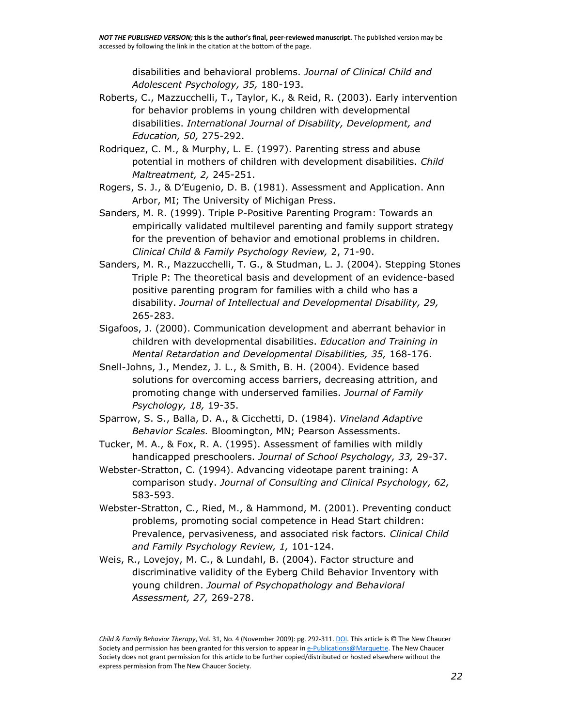disabilities and behavioral problems. *Journal of Clinical Child and Adolescent Psychology, 35,* 180-193.

- Roberts, C., Mazzucchelli, T., Taylor, K., & Reid, R. (2003). Early intervention for behavior problems in young children with developmental disabilities. *International Journal of Disability, Development, and Education, 50,* 275-292.
- Rodriquez, C. M., & Murphy, L. E. (1997). Parenting stress and abuse potential in mothers of children with development disabilities. *Child Maltreatment, 2,* 245-251.
- Rogers, S. J., & D'Eugenio, D. B. (1981). Assessment and Application. Ann Arbor, MI; The University of Michigan Press.
- Sanders, M. R. (1999). Triple P-Positive Parenting Program: Towards an empirically validated multilevel parenting and family support strategy for the prevention of behavior and emotional problems in children. *Clinical Child & Family Psychology Review,* 2, 71-90.
- Sanders, M. R., Mazzucchelli, T. G., & Studman, L. J. (2004). Stepping Stones Triple P: The theoretical basis and development of an evidence-based positive parenting program for families with a child who has a disability. *Journal of Intellectual and Developmental Disability, 29,*  265-283.
- Sigafoos, J. (2000). Communication development and aberrant behavior in children with developmental disabilities. *Education and Training in Mental Retardation and Developmental Disabilities, 35,* 168-176.
- Snell-Johns, J., Mendez, J. L., & Smith, B. H. (2004). Evidence based solutions for overcoming access barriers, decreasing attrition, and promoting change with underserved families. *Journal of Family Psychology, 18,* 19-35.
- Sparrow, S. S., Balla, D. A., & Cicchetti, D. (1984). *Vineland Adaptive Behavior Scales.* Bloomington, MN; Pearson Assessments.
- Tucker, M. A., & Fox, R. A. (1995). Assessment of families with mildly handicapped preschoolers. *Journal of School Psychology, 33,* 29-37.
- Webster-Stratton, C. (1994). Advancing videotape parent training: A comparison study. *Journal of Consulting and Clinical Psychology, 62,*  583-593.
- Webster-Stratton, C., Ried, M., & Hammond, M. (2001). Preventing conduct problems, promoting social competence in Head Start children: Prevalence, pervasiveness, and associated risk factors. *Clinical Child and Family Psychology Review, 1,* 101-124.
- Weis, R., Lovejoy, M. C., & Lundahl, B. (2004). Factor structure and discriminative validity of the Eyberg Child Behavior Inventory with young children. *Journal of Psychopathology and Behavioral Assessment, 27,* 269-278.

*Child & Family Behavior Therapy*, Vol. 31, No. 4 (November 2009): pg. 292-311[. DOI.](http://dx.doi.org/10.1080/07317100903311018) This article is © The New Chaucer Society and permission has been granted for this version to appear in [e-Publications@Marquette.](http://epublications.marquette.edu/) The New Chaucer Society does not grant permission for this article to be further copied/distributed or hosted elsewhere without the express permission from The New Chaucer Society.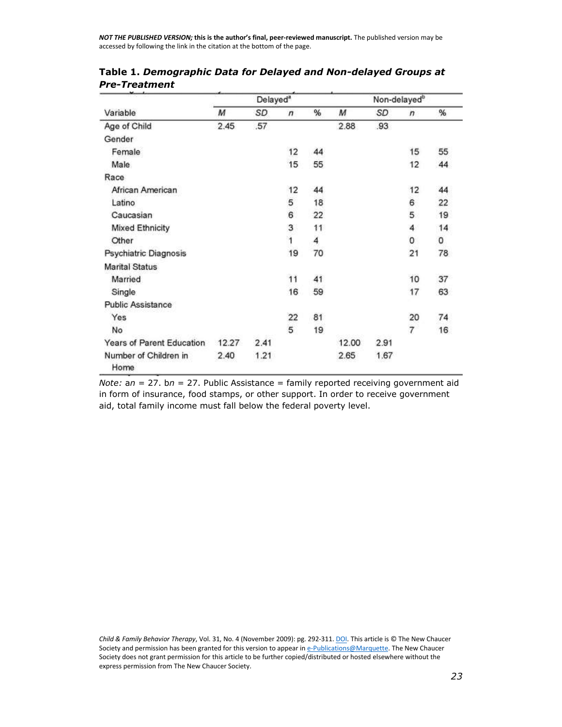*NOT THE PUBLISHED VERSION;* **this is the author's final, peer-reviewed manuscript.** The published version may be accessed by following the link in the citation at the bottom of the page.

|                               |       | Delayed <sup>a</sup> |                |    | Non-delayed <sup>b</sup> |      |                |    |
|-------------------------------|-------|----------------------|----------------|----|--------------------------|------|----------------|----|
| Variable                      | М     | SD                   | $\sqrt{n}$     | %  | M                        | SD   | $\sqrt{n}$     | %  |
| Age of Child                  | 2.45  | .57                  |                |    | 2.88                     | .93  |                |    |
| Gender                        |       |                      |                |    |                          |      |                |    |
| Female                        |       |                      | 12             | 44 |                          |      | 15             | 55 |
| Male                          |       |                      | 15             | 55 |                          |      | 12             | 44 |
| Race                          |       |                      |                |    |                          |      |                |    |
| African American              |       |                      | 12             | 44 |                          |      | 12             | 44 |
| Latino                        |       |                      | 5              | 18 |                          |      | 6              | 22 |
| Caucasian                     |       |                      | 6              | 22 |                          |      | 5              | 19 |
| <b>Mixed Ethnicity</b>        |       |                      | 3              | 11 |                          |      | 4              | 14 |
| Other                         |       |                      | $\overline{1}$ | 4  |                          |      | 0              | 0  |
| Psychiatric Diagnosis         |       |                      | 19             | 70 |                          |      | 21             | 78 |
| <b>Marital Status</b>         |       |                      |                |    |                          |      |                |    |
| Married                       |       |                      | 11             | 41 |                          |      | 10             | 37 |
| Single                        |       |                      | 16             | 59 |                          |      | 17             | 63 |
| <b>Public Assistance</b>      |       |                      |                |    |                          |      |                |    |
| Yes                           |       |                      | 22             | 81 |                          |      | 20             | 74 |
| No                            |       |                      | 5              | 19 |                          |      | $\overline{7}$ | 16 |
| Years of Parent Education     | 12.27 | 2.41                 |                |    | 12.00                    | 2.91 |                |    |
| Number of Children in<br>Home | 2.40  | 1.21                 |                |    | 2.65                     | 1.67 |                |    |

**Table 1.** *Demographic Data for Delayed and Non-delayed Groups at Pre-Treatment*

*Note:* a*n* = 27. b*n* = 27. Public Assistance = family reported receiving government aid in form of insurance, food stamps, or other support. In order to receive government aid, total family income must fall below the federal poverty level.

*Child & Family Behavior Therapy*, Vol. 31, No. 4 (November 2009): pg. 292-311[. DOI.](http://dx.doi.org/10.1080/07317100903311018) This article is © The New Chaucer Society and permission has been granted for this version to appear in [e-Publications@Marquette.](http://epublications.marquette.edu/) The New Chaucer Society does not grant permission for this article to be further copied/distributed or hosted elsewhere without the express permission from The New Chaucer Society.